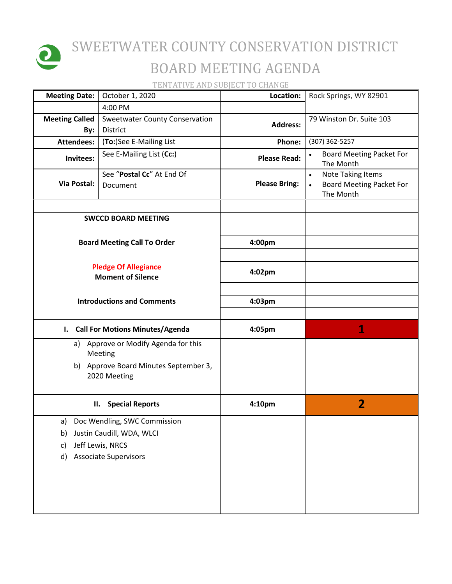

## SWEETWATER COUNTY CONSERVATION DISTRICT BOARD MEETING AGENDA

TENTATIVE AND SUBJECT TO CHANGE

| <b>Meeting Date:</b>                                    | October 1, 2020                                                                                               | Location:            | Rock Springs, WY 82901                                                                |
|---------------------------------------------------------|---------------------------------------------------------------------------------------------------------------|----------------------|---------------------------------------------------------------------------------------|
|                                                         | 4:00 PM                                                                                                       |                      |                                                                                       |
| <b>Meeting Called</b><br>By:                            | <b>Sweetwater County Conservation</b><br>District                                                             | <b>Address:</b>      | 79 Winston Dr. Suite 103                                                              |
| <b>Attendees:</b>                                       | (To:)See E-Mailing List                                                                                       | Phone:               | (307) 362-5257                                                                        |
| Invitees:                                               | See E-Mailing List (Cc:)                                                                                      | <b>Please Read:</b>  | <b>Board Meeting Packet For</b><br>The Month                                          |
| Via Postal:                                             | See "Postal Cc" At End Of<br>Document                                                                         | <b>Please Bring:</b> | <b>Note Taking Items</b><br>$\bullet$<br><b>Board Meeting Packet For</b><br>The Month |
|                                                         | <b>SWCCD BOARD MEETING</b>                                                                                    |                      |                                                                                       |
|                                                         |                                                                                                               |                      |                                                                                       |
|                                                         | <b>Board Meeting Call To Order</b>                                                                            | 4:00pm               |                                                                                       |
| <b>Pledge Of Allegiance</b><br><b>Moment of Silence</b> |                                                                                                               | 4:02pm               |                                                                                       |
| <b>Introductions and Comments</b>                       |                                                                                                               | 4:03pm               |                                                                                       |
|                                                         | I. Call For Motions Minutes/Agenda                                                                            | 4:05pm               | 1                                                                                     |
| a)                                                      | Approve or Modify Agenda for this<br>Meeting                                                                  |                      |                                                                                       |
|                                                         | b) Approve Board Minutes September 3,<br>2020 Meeting                                                         |                      |                                                                                       |
|                                                         | <b>Special Reports</b><br>П.                                                                                  | 4:10pm               | $\overline{2}$                                                                        |
| a)<br>b)<br>c)<br>d)                                    | Doc Wendling, SWC Commission<br>Justin Caudill, WDA, WLCI<br>Jeff Lewis, NRCS<br><b>Associate Supervisors</b> |                      |                                                                                       |
|                                                         |                                                                                                               |                      |                                                                                       |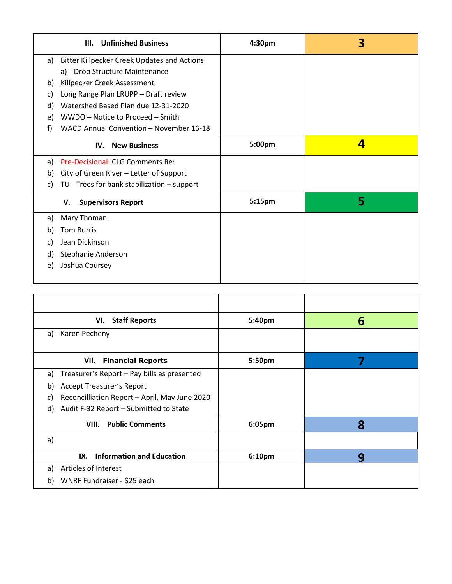|    | <b>Unfinished Business</b><br>III.                 | 4:30 <sub>pm</sub> | 3 |
|----|----------------------------------------------------|--------------------|---|
| a) | <b>Bitter Killpecker Creek Updates and Actions</b> |                    |   |
|    | Drop Structure Maintenance<br>a)                   |                    |   |
| b) | Killpecker Creek Assessment                        |                    |   |
| C) | Long Range Plan LRUPP - Draft review               |                    |   |
| d) | Watershed Based Plan due 12-31-2020                |                    |   |
| e) | WWDO - Notice to Proceed - Smith                   |                    |   |
| f) | WACD Annual Convention - November 16-18            |                    |   |
|    | <b>New Business</b><br>IV.                         | 5:00pm             | 4 |
| a) | Pre-Decisional: CLG Comments Re:                   |                    |   |
| b) | City of Green River - Letter of Support            |                    |   |
| C) | TU - Trees for bank stabilization - support        |                    |   |
|    | <b>Supervisors Report</b><br>V.                    | 5:15pm             | 5 |
| a) | Mary Thoman                                        |                    |   |
| b) | <b>Tom Burris</b>                                  |                    |   |
| C) | Jean Dickinson                                     |                    |   |
| d) | Stephanie Anderson                                 |                    |   |
| e) | Joshua Coursey                                     |                    |   |

| VI. Staff Reports                                   | 5:40pm | 6 |
|-----------------------------------------------------|--------|---|
| Karen Pecheny<br>a)                                 |        |   |
| <b>VII.</b> Financial Reports                       | 5:50pm |   |
| Treasurer's Report - Pay bills as presented<br>a)   |        |   |
| <b>Accept Treasurer's Report</b><br>b)              |        |   |
| Reconcilliation Report - April, May June 2020<br>C) |        |   |
| Audit F-32 Report - Submitted to State<br>d)        |        |   |
| <b>VIII.</b> Public Comments                        | 6:05pm | 8 |
| a)                                                  |        |   |
| <b>Information and Education</b><br>IX.             | 6:10pm | q |
| Articles of Interest<br>a)                          |        |   |
| WNRF Fundraiser - \$25 each<br>b)                   |        |   |